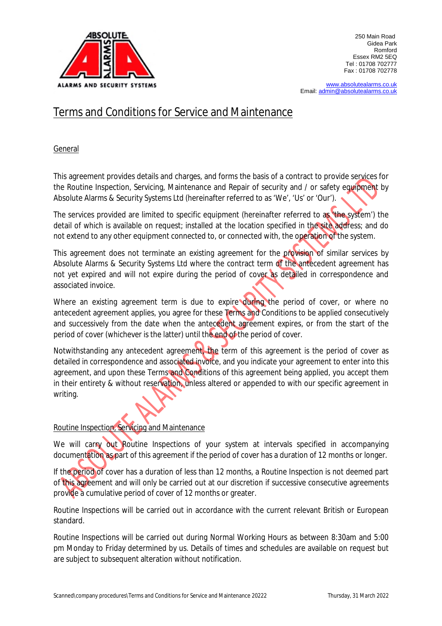

[www.absolutealarms.co.uk](http://www.absolutealarms.co.uk) Email: [admin@absolutealarms.co.uk](mailto:admin@absolutealarms.co.uk)

# Terms and Conditions for Service and Maintenance

General

This agreement provides details and charges, and forms the basis of a contract to provide services for the Routine Inspection, Servicing, Maintenance and Repair of security and / or safety equipment by Absolute Alarms & Security Systems Ltd (hereinafter referred to as 'We', 'Us' or 'Our').

The services provided are limited to specific equipment (hereinafter referred to as 'the system') the detail of which is available on request; installed at the location specified in the site address; and do not extend to any other equipment connected to, or connected with, the operation of the system.

This agreement does not terminate an existing agreement for the provision of similar services by Absolute Alarms & Security Systems Ltd where the contract term of the antecedent agreement has not yet expired and will not expire during the period of cover as detailed in correspondence and associated invoice.

Where an existing agreement term is due to expire during the period of cover, or where no antecedent agreement applies, you agree for these Terms and Conditions to be applied consecutively and successively from the date when the antecedent agreement expires, or from the start of the period of cover (whichever is the latter) until the end of the period of cover.

Notwithstanding any antecedent agreement, the term of this agreement is the period of cover as detailed in correspondence and associated invoice, and you indicate your agreement to enter into this agreement, and upon these Terms and Conditions of this agreement being applied, you accept them in their entirety & without reservation, unless altered or appended to with our specific agreement in writing.

## Routine Inspection, Servicing and Maintenance

We will carry out Routine Inspections of your system at intervals specified in accompanying documentation as part of this agreement if the period of cover has a duration of 12 months or longer.

If the period of cover has a duration of less than 12 months, a Routine Inspection is not deemed part of this agreement and will only be carried out at our discretion if successive consecutive agreements provide a cumulative period of cover of 12 months or greater.

Routine Inspections will be carried out in accordance with the current relevant British or European standard.

Routine Inspections will be carried out during Normal Working Hours as between 8:30am and 5:00 pm Monday to Friday determined by us. Details of times and schedules are available on request but are subject to subsequent alteration without notification.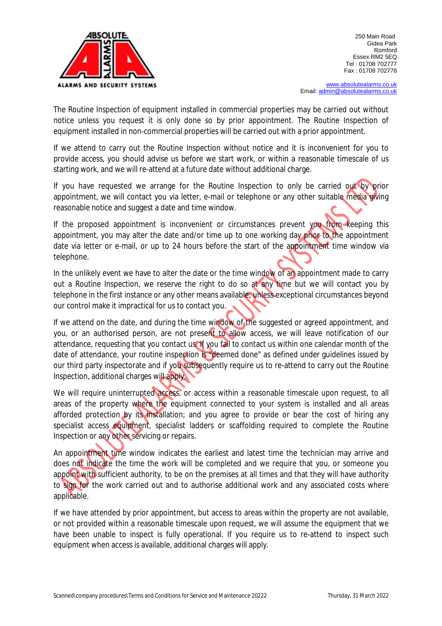

[www.absolutealarms.co.uk](http://www.absolutealarms.co.uk) Email: [admin@absolutealarms.co.uk](mailto:admin@absolutealarms.co.uk)

The Routine Inspection of equipment installed in commercial properties may be carried out without notice unless you request it is only done so by prior appointment. The Routine Inspection of equipment installed in non-commercial properties will be carried out with a prior appointment.

If we attend to carry out the Routine Inspection without notice and it is inconvenient for you to provide access, you should advise us before we start work, or within a reasonable timescale of us starting work, and we will re-attend at a future date without additional charge.

If you have requested we arrange for the Routine Inspection to only be carried out by prior appointment, we will contact you via letter, e-mail or telephone or any other suitable media giving reasonable notice and suggest a date and time window.

If the proposed appointment is inconvenient or circumstances prevent you from keeping this appointment, you may alter the date and/or time up to one working day prior to the appointment date via letter or e-mail, or up to 24 hours before the start of the appointment time window via telephone.

In the unlikely event we have to alter the date or the time window of an appointment made to carry out a Routine Inspection, we reserve the right to do so at any time but we will contact you by telephone in the first instance or any other means available; unless exceptional circumstances beyond our control make it impractical for us to contact you.

If we attend on the date, and during the time window of the suggested or agreed appointment, and you, or an authorised person, are not present to allow access, we will leave notification of our attendance, requesting that you contact us. If you fail to contact us within one calendar month of the date of attendance, your routine inspection is "deemed done" as defined under guidelines issued by our third party inspectorate and if you subsequently require us to re-attend to carry out the Routine Inspection, additional charges will apply.

We will require uninterrupted access, or access within a reasonable timescale upon request, to all areas of the property where the equipment connected to your system is installed and all areas afforded protection by its installation; and you agree to provide or bear the cost of hiring any specialist access equipment, specialist ladders or scaffolding required to complete the Routine Inspection or any other servicing or repairs.

An appointment time window indicates the earliest and latest time the technician may arrive and does not indicate the time the work will be completed and we require that you, or someone you appoint with sufficient authority, to be on the premises at all times and that they will have authority to sign for the work carried out and to authorise additional work and any associated costs where applicable.

If we have attended by prior appointment, but access to areas within the property are not available, or not provided within a reasonable timescale upon request, we will assume the equipment that we have been unable to inspect is fully operational. If you require us to re-attend to inspect such equipment when access is available, additional charges will apply.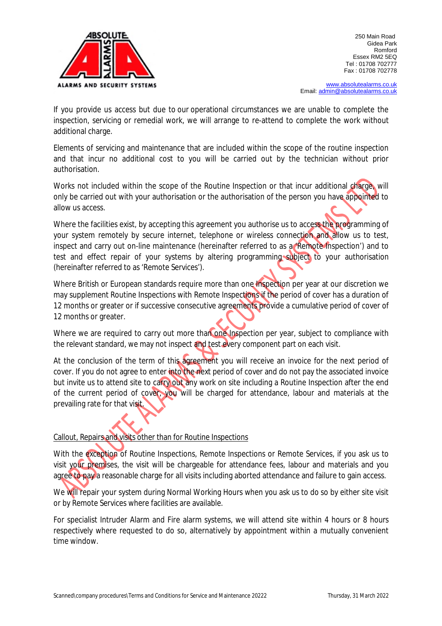

[www.absolutealarms.co.uk](http://www.absolutealarms.co.uk) Email: [admin@absolutealarms.co.uk](mailto:admin@absolutealarms.co.uk)

If you provide us access but due to our operational circumstances we are unable to complete the inspection, servicing or remedial work, we will arrange to re-attend to complete the work without additional charge.

Elements of servicing and maintenance that are included within the scope of the routine inspection and that incur no additional cost to you will be carried out by the technician without prior authorisation.

Works not included within the scope of the Routine Inspection or that incur additional charge, will only be carried out with your authorisation or the authorisation of the person you have appointed to allow us access.

Where the facilities exist, by accepting this agreement you authorise us to access the programming of your system remotely by secure internet, telephone or wireless connection and allow us to test, inspect and carry out on-line maintenance (hereinafter referred to as a 'Remote Inspection') and to test and effect repair of your systems by altering programming subject to your authorisation (hereinafter referred to as 'Remote Services').

Where British or European standards require more than one Inspection per year at our discretion we may supplement Routine Inspections with Remote Inspections if the period of cover has a duration of 12 months or greater or if successive consecutive agreements provide a cumulative period of cover of 12 months or greater.

Where we are required to carry out more than one Inspection per year, subject to compliance with the relevant standard, we may not inspect and test every component part on each visit.

At the conclusion of the term of this agreement you will receive an invoice for the next period of cover. If you do not agree to enter into the next period of cover and do not pay the associated invoice but invite us to attend site to carry out any work on site including a Routine Inspection after the end of the current period of cover, you will be charged for attendance, labour and materials at the prevailing rate for that visit.

### Callout, Repairs and visits other than for Routine Inspections

With the exception of Routine Inspections, Remote Inspections or Remote Services, if you ask us to visit your premises, the visit will be chargeable for attendance fees, labour and materials and you agree to pay a reasonable charge for all visits including aborted attendance and failure to gain access.

We will repair your system during Normal Working Hours when you ask us to do so by either site visit or by Remote Services where facilities are available.

For specialist Intruder Alarm and Fire alarm systems, we will attend site within 4 hours or 8 hours respectively where requested to do so, alternatively by appointment within a mutually convenient time window.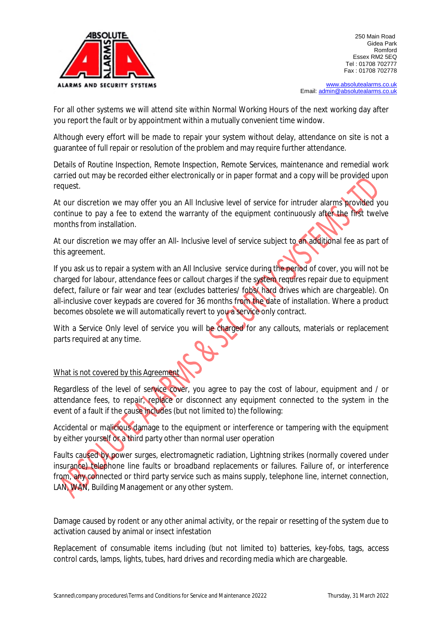

[www.absolutealarms.co.uk](http://www.absolutealarms.co.uk) Email: [admin@absolutealarms.co.uk](mailto:admin@absolutealarms.co.uk)

For all other systems we will attend site within Normal Working Hours of the next working day after you report the fault or by appointment within a mutually convenient time window.

Although every effort will be made to repair your system without delay, attendance on site is not a guarantee of full repair or resolution of the problem and may require further attendance.

Details of Routine Inspection, Remote Inspection, Remote Services, maintenance and remedial work carried out may be recorded either electronically or in paper format and a copy will be provided upon request.

At our discretion we may offer you an All Inclusive level of service for intruder alarms provided you continue to pay a fee to extend the warranty of the equipment continuously after the first twelve months from installation.

At our discretion we may offer an All- Inclusive level of service subject to an additional fee as part of this agreement.

If you ask us to repair a system with an All Inclusive service during the period of cover, you will not be charged for labour, attendance fees or callout charges if the system requires repair due to equipment defect, failure or fair wear and tear (excludes batteries/ fobs/ hard drives which are chargeable). On all-inclusive cover keypads are covered for 36 months from the date of installation. Where a product becomes obsolete we will automatically revert to you a service only contract.

With a Service Only level of service you will be charged for any callouts, materials or replacement parts required at any time.

## What is not covered by this Agreement

Regardless of the level of service cover, you agree to pay the cost of labour, equipment and / or attendance fees, to repair, replace or disconnect any equipment connected to the system in the event of a fault if the cause includes (but not limited to) the following:

Accidental or malicious damage to the equipment or interference or tampering with the equipment by either yourself or a third party other than normal user operation

Faults caused by power surges, electromagnetic radiation, Lightning strikes (normally covered under insurance) telephone line faults or broadband replacements or failures. Failure of, or interference from, any connected or third party service such as mains supply, telephone line, internet connection, LAN, WAN, Building Management or any other system.

Damage caused by rodent or any other animal activity, or the repair or resetting of the system due to activation caused by animal or insect infestation

Replacement of consumable items including (but not limited to) batteries, key-fobs, tags, access control cards, lamps, lights, tubes, hard drives and recording media which are chargeable.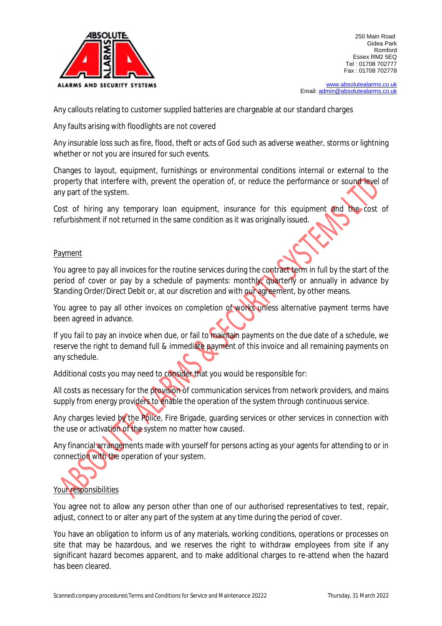

[www.absolutealarms.co.uk](http://www.absolutealarms.co.uk) Email: [admin@absolutealarms.co.uk](mailto:admin@absolutealarms.co.uk)

Any callouts relating to customer supplied batteries are chargeable at our standard charges

Any faults arising with floodlights are not covered

Any insurable loss such as fire, flood, theft or acts of God such as adverse weather, storms or lightning whether or not you are insured for such events.

Changes to layout, equipment, furnishings or environmental conditions internal or external to the property that interfere with, prevent the operation of, or reduce the performance or sound level of any part of the system.

Cost of hiring any temporary loan equipment, insurance for this equipment and the cost of refurbishment if not returned in the same condition as it was originally issued.

#### Payment

You agree to pay all invoices for the routine services during the contract term in full by the start of the period of cover or pay by a schedule of payments: monthly, quarterly or annually in advance by Standing Order/Direct Debit or, at our discretion and with our agreement, by other means.

You agree to pay all other invoices on completion of works unless alternative payment terms have been agreed in advance.

If you fail to pay an invoice when due, or fail to maintain payments on the due date of a schedule, we reserve the right to demand full & immediate payment of this invoice and all remaining payments on any schedule.

Additional costs you may need to consider that you would be responsible for:

All costs as necessary for the provision of communication services from network providers, and mains supply from energy providers to enable the operation of the system through continuous service.

Any charges levied by the Police, Fire Brigade, guarding services or other services in connection with the use or activation of the system no matter how caused.

Any financial arrangements made with yourself for persons acting as your agents for attending to or in connection with the operation of your system.



You agree not to allow any person other than one of our authorised representatives to test, repair, adjust, connect to or alter any part of the system at any time during the period of cover.

You have an obligation to inform us of any materials, working conditions, operations or processes on site that may be hazardous, and we reserves the right to withdraw employees from site if any significant hazard becomes apparent, and to make additional charges to re-attend when the hazard has been cleared.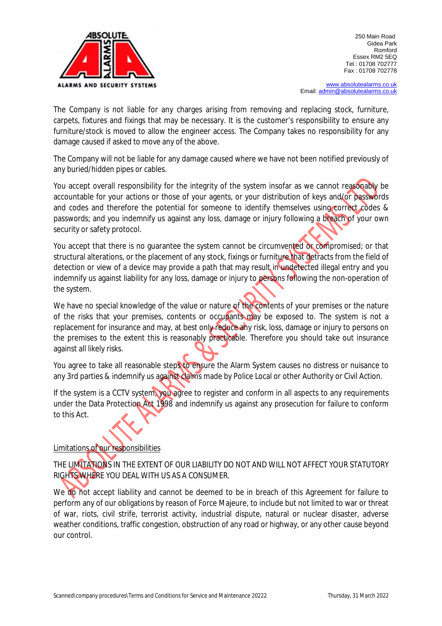

[www.absolutealarms.co.uk](http://www.absolutealarms.co.uk) Email: [admin@absolutealarms.co.uk](mailto:admin@absolutealarms.co.uk)

The Company is not liable for any charges arising from removing and replacing stock, furniture, carpets, fixtures and fixings that may be necessary. It is the customer's responsibility to ensure any furniture/stock is moved to allow the engineer access. The Company takes no responsibility for any damage caused if asked to move any of the above.

The Company will not be liable for any damage caused where we have not been notified previously of any buried/hidden pipes or cables.

You accept overall responsibility for the integrity of the system insofar as we cannot reasonably be accountable for your actions or those of your agents, or your distribution of keys and/or passwords and codes and therefore the potential for someone to identify themselves using correct codes & passwords; and you indemnify us against any loss, damage or injury following a breach of your own security or safety protocol.

You accept that there is no quarantee the system cannot be circumvented or compromised; or that structural alterations, or the placement of any stock, fixings or furniture that detracts from the field of detection or view of a device may provide a path that may result in undetected illegal entry and you indemnify us against liability for any loss, damage or injury to persons following the non-operation of the system.

We have no special knowledge of the value or nature of the contents of your premises or the nature of the risks that your premises, contents or occupants may be exposed to. The system is not a replacement for insurance and may, at best only reduce any risk, loss, damage or injury to persons on the premises to the extent this is reasonably practicable. Therefore you should take out insurance against all likely risks.

You agree to take all reasonable steps to ensure the Alarm System causes no distress or nuisance to any 3rd parties & indemnify us against claims made by Police Local or other Authority or Civil Action.

If the system is a CCTV system, you agree to register and conform in all aspects to any requirements under the Data Protection Act 1998 and indemnify us against any prosecution for failure to conform to this Act.

## Limitations of our responsibilities

THE LIMITATIONS IN THE EXTENT OF OUR LIABILITY DO NOT AND WILL NOT AFFECT YOUR STATUTORY RIGHTS WHERE YOU DEAL WITH US AS A CONSUMER.

We do not accept liability and cannot be deemed to be in breach of this Agreement for failure to perform any of our obligations by reason of Force Majeure, to include but not limited to war or threat of war, riots, civil strife, terrorist activity, industrial dispute, natural or nuclear disaster, adverse weather conditions, traffic congestion, obstruction of any road or highway, or any other cause beyond our control.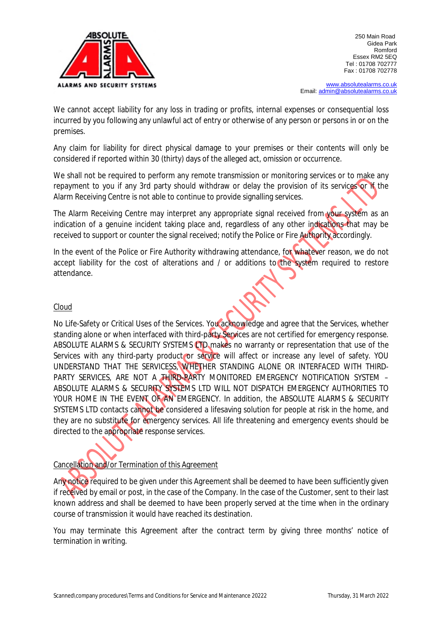

[www.absolutealarms.co.uk](http://www.absolutealarms.co.uk) Email: [admin@absolutealarms.co.uk](mailto:admin@absolutealarms.co.uk)

We cannot accept liability for any loss in trading or profits, internal expenses or consequential loss incurred by you following any unlawful act of entry or otherwise of any person or persons in or on the premises.

Any claim for liability for direct physical damage to your premises or their contents will only be considered if reported within 30 (thirty) days of the alleged act, omission or occurrence.

We shall not be required to perform any remote transmission or monitoring services or to make any repayment to you if any 3rd party should withdraw or delay the provision of its services or if the Alarm Receiving Centre is not able to continue to provide signalling services.

The Alarm Receiving Centre may interpret any appropriate signal received from your system as an indication of a genuine incident taking place and, regardless of any other indications that may be received to support or counter the signal received; notify the Police or Fire Authority accordingly.

In the event of the Police or Fire Authority withdrawing attendance, for whatever reason, we do not accept liability for the cost of alterations and / or additions to the system required to restore attendance.

#### Cloud

No Life-Safety or Critical Uses of the Services. You acknowledge and agree that the Services, whether standing alone or when interfaced with third-party Services are not certified for emergency response. ABSOLUTE ALARMS & SECURITY SYSTEMS **LTD** makes no warranty or representation that use of the Services with any third-party product or service will affect or increase any level of safety. YOU UNDERSTAND THAT THE SERVICESS, WHETHER STANDING ALONE OR INTERFACED WITH THIRD-PARTY SERVICES, ARE NOT A THIRD-PARTY MONITORED EMERGENCY NOTIFICATION SYSTEM – ABSOLUTE ALARMS & SECURITY SYSTEMS LTD WILL NOT DISPATCH EMERGENCY AUTHORITIES TO YOUR HOME IN THE EVENT OF AN EMERGENCY. In addition, the ABSOLUTE ALARMS & SECURITY SYSTEMS LTD contacts cannot be considered a lifesaving solution for people at risk in the home, and they are no substitute for emergency services. All life threatening and emergency events should be directed to the appropriate response services.

## Cancellation and/or Termination of this Agreement

Any notice required to be given under this Agreement shall be deemed to have been sufficiently given if received by email or post, in the case of the Company. In the case of the Customer, sent to their last known address and shall be deemed to have been properly served at the time when in the ordinary course of transmission it would have reached its destination.

You may terminate this Agreement after the contract term by giving three months' notice of termination in writing.